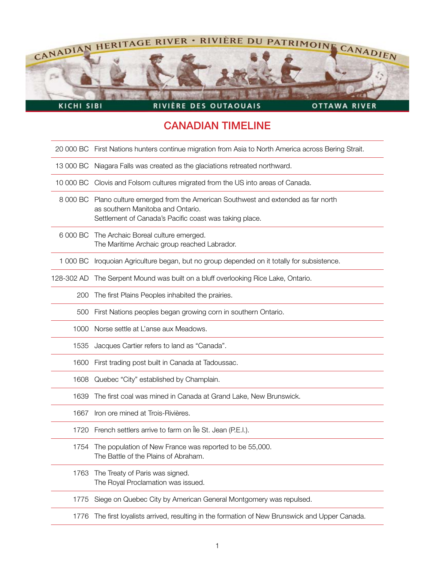

KICHI SIBI

## RIVIÈRE DES OUTAOUAIS

OTTAWA RIVER

## CANADIAN TIMELINE

|            | 20 000 BC First Nations hunters continue migration from Asia to North America across Bering Strait.                                                                                 |
|------------|-------------------------------------------------------------------------------------------------------------------------------------------------------------------------------------|
| 13 000 BC  | Niagara Falls was created as the glaciations retreated northward.                                                                                                                   |
|            | 10 000 BC Clovis and Folsom cultures migrated from the US into areas of Canada.                                                                                                     |
|            | 8 000 BC Plano culture emerged from the American Southwest and extended as far north<br>as southern Manitoba and Ontario.<br>Settlement of Canada's Pacific coast was taking place. |
| 6 000 BC   | The Archaic Boreal culture emerged.<br>The Maritime Archaic group reached Labrador.                                                                                                 |
| 1 000 BC   | Iroquoian Agriculture began, but no group depended on it totally for subsistence.                                                                                                   |
| 128-302 AD | The Serpent Mound was built on a bluff overlooking Rice Lake, Ontario.                                                                                                              |
| 200        | The first Plains Peoples inhabited the prairies.                                                                                                                                    |
| 500        | First Nations peoples began growing corn in southern Ontario.                                                                                                                       |
| 1000       | Norse settle at L'anse aux Meadows.                                                                                                                                                 |
| 1535       | Jacques Cartier refers to land as "Canada".                                                                                                                                         |
| 1600       | First trading post built in Canada at Tadoussac.                                                                                                                                    |
| 1608       | Quebec "City" established by Champlain.                                                                                                                                             |
| 1639       | The first coal was mined in Canada at Grand Lake, New Brunswick.                                                                                                                    |
| 1667       | Iron ore mined at Trois-Rivières.                                                                                                                                                   |
|            | 1720 French settlers arrive to farm on Île St. Jean (P.E.I.).                                                                                                                       |
| 1754       | The population of New France was reported to be 55,000.<br>The Battle of the Plains of Abraham.                                                                                     |
| 1763       | The Treaty of Paris was signed.<br>The Royal Proclamation was issued.                                                                                                               |
| 1775       | Siege on Quebec City by American General Montgomery was repulsed.                                                                                                                   |
| 1776       | The first loyalists arrived, resulting in the formation of New Brunswick and Upper Canada.                                                                                          |
|            |                                                                                                                                                                                     |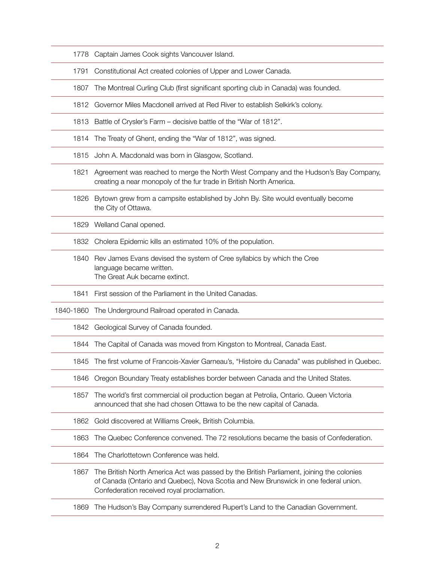| 1778      | Captain James Cook sights Vancouver Island.                                                                                                                                                                                   |
|-----------|-------------------------------------------------------------------------------------------------------------------------------------------------------------------------------------------------------------------------------|
| 1791      | Constitutional Act created colonies of Upper and Lower Canada.                                                                                                                                                                |
| 1807      | The Montreal Curling Club (first significant sporting club in Canada) was founded.                                                                                                                                            |
| 1812      | Governor Miles Macdonell arrived at Red River to establish Selkirk's colony.                                                                                                                                                  |
| 1813      | Battle of Crysler's Farm – decisive battle of the "War of 1812".                                                                                                                                                              |
| 1814      | The Treaty of Ghent, ending the "War of 1812", was signed.                                                                                                                                                                    |
| 1815      | John A. Macdonald was born in Glasgow, Scotland.                                                                                                                                                                              |
| 1821      | Agreement was reached to merge the North West Company and the Hudson's Bay Company,<br>creating a near monopoly of the fur trade in British North America.                                                                    |
| 1826      | Bytown grew from a campsite established by John By. Site would eventually become<br>the City of Ottawa.                                                                                                                       |
| 1829      | Welland Canal opened.                                                                                                                                                                                                         |
| 1832      | Cholera Epidemic kills an estimated 10% of the population.                                                                                                                                                                    |
| 1840      | Rev James Evans devised the system of Cree syllabics by which the Cree<br>language became written.<br>The Great Auk became extinct.                                                                                           |
| 1841      | First session of the Parliament in the United Canadas.                                                                                                                                                                        |
| 1840-1860 | The Underground Railroad operated in Canada.                                                                                                                                                                                  |
| 1842      | Geological Survey of Canada founded.                                                                                                                                                                                          |
| 1844      | The Capital of Canada was moved from Kingston to Montreal, Canada East.                                                                                                                                                       |
| 1845      | The first volume of Francois-Xavier Garneau's, "Histoire du Canada" was published in Quebec.                                                                                                                                  |
| 1846      | Oregon Boundary Treaty establishes border between Canada and the United States.                                                                                                                                               |
| 1857      | The world's first commercial oil production began at Petrolia, Ontario. Queen Victoria<br>announced that she had chosen Ottawa to be the new capital of Canada.                                                               |
| 1862      | Gold discovered at Williams Creek, British Columbia.                                                                                                                                                                          |
| 1863      | The Quebec Conference convened. The 72 resolutions became the basis of Confederation.                                                                                                                                         |
| 1864      | The Charlottetown Conference was held.                                                                                                                                                                                        |
| 1867      | The British North America Act was passed by the British Parliament, joining the colonies<br>of Canada (Ontario and Quebec), Nova Scotia and New Brunswick in one federal union.<br>Confederation received royal proclamation. |
| 1869      | The Hudson's Bay Company surrendered Rupert's Land to the Canadian Government.                                                                                                                                                |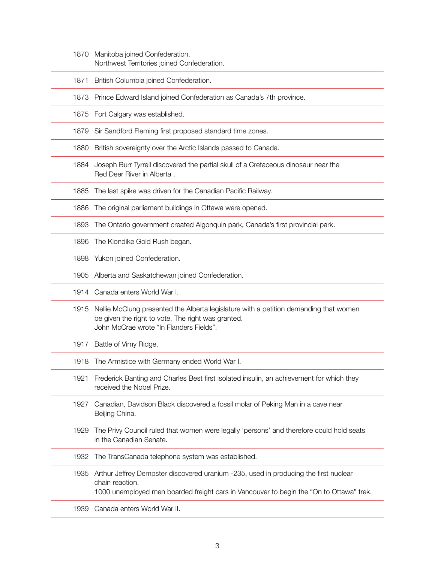- 1870 Manitoba joined Confederation. Northwest Territories joined Confederation.
- 1871 British Columbia joined Confederation.
- 1873 Prince Edward Island joined Confederation as Canada's 7th province.
- 1875 Fort Calgary was established.
- 1879 Sir Sandford Fleming first proposed standard time zones.
- 1880 British sovereignty over the Arctic Islands passed to Canada.
- 1884 Joseph Burr Tyrrell discovered the partial skull of a Cretaceous dinosaur near the Red Deer River in Alberta .
- 1885 The last spike was driven for the Canadian Pacific Railway.
- 1886 The original parliament buildings in Ottawa were opened.
- 1893 The Ontario government created Algonquin park, Canada's first provincial park.
- 1896 The Klondike Gold Rush began.
- 1898 Yukon joined Confederation.
- 1905 Alberta and Saskatchewan joined Confederation.
- 1914 Canada enters World War I.
- 1915 Nellie McClung presented the Alberta legislature with a petition demanding that women be given the right to vote. The right was granted. John McCrae wrote "In Flanders Fields".
- 1917 Battle of Vimy Ridge.
- 1918 The Armistice with Germany ended World War I.
- 1921 Frederick Banting and Charles Best first isolated insulin, an achievement for which they received the Nobel Prize.
- 1927 Canadian, Davidson Black discovered a fossil molar of Peking Man in a cave near Beijing China.
- 1929 The Privy Council ruled that women were legally 'persons' and therefore could hold seats in the Canadian Senate.
- 1932 The TransCanada telephone system was established.
- 1935 Arthur Jeffrey Dempster discovered uranium -235, used in producing the first nuclear chain reaction. 1000 unemployed men boarded freight cars in Vancouver to begin the "On to Ottawa" trek.
- 1939 Canada enters World War II.